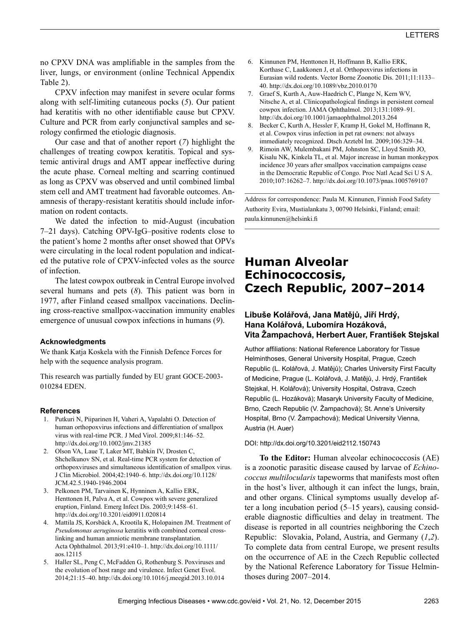no CPXV DNA was amplifiable in the samples from the liver, lungs, or environment (online Technical Appendix Table 2).

CPXV infection may manifest in severe ocular forms along with self-limiting cutaneous pocks (*5*). Our patient had keratitis with no other identifiable cause but CPXV. Culture and PCR from early conjunctival samples and serology confirmed the etiologic diagnosis.

Our case and that of another report (*7*) highlight the challenges of treating cowpox keratitis. Topical and systemic antiviral drugs and AMT appear ineffective during the acute phase. Corneal melting and scarring continued as long as CPXV was observed and until combined limbal stem cell and AMT treatment had favorable outcomes. Anamnesis of therapy-resistant keratitis should include information on rodent contacts.

We dated the infection to mid-August (incubation 7–21 days). Catching OPV-IgG–positive rodents close to the patient's home 2 months after onset showed that OPVs were circulating in the local rodent population and indicated the putative role of CPXV-infected voles as the source of infection.

The latest cowpox outbreak in Central Europe involved several humans and pets (*8*). This patient was born in 1977, after Finland ceased smallpox vaccinations. Declining cross-reactive smallpox-vaccination immunity enables emergence of unusual cowpox infections in humans (*9*).

#### **Acknowledgments**

We thank Katja Koskela with the Finnish Defence Forces for help with the sequence analysis program.

This research was partially funded by EU grant GOCE-2003- 010284 EDEN.

### **References**

- 1. Putkuri N, Piiparinen H, Vaheri A, Vapalahti O. Detection of human orthopoxvirus infections and differentiation of smallpox virus with real-time PCR. J Med Virol. 2009;81:146–52. http://dx.doi.org/10.1002/jmv.21385
- 2. Olson VA, Laue T, Laker MT, Babkin IV, Drosten C, Shchelkunov SN, et al. Real-time PCR system for detection of orthopoxviruses and simultaneous identification of smallpox virus. J Clin Microbiol. 2004;42:1940–6. http://dx.doi.org/10.1128/ JCM.42.5.1940-1946.2004
- 3. Pelkonen PM, Tarvainen K, Hynninen A, Kallio ERK, Henttonen H, Palva A, et al. Cowpox with severe generalized eruption, Finland. Emerg Infect Dis. 2003;9:1458–61. http://dx.doi.org/10.3201/eid0911.020814
- 4. Mattila JS, Korsbäck A, Krootila K, Holopainen JM. Treatment of *Pseudomonas aeruginosa* keratitis with combined corneal crosslinking and human amniotic membrane transplantation. Acta Ophthalmol. 2013;91:e410–1. http://dx.doi.org/10.1111/ aos.12115
- 5. Haller SL, Peng C, McFadden G, Rothenburg S. Poxviruses and the evolution of host range and virulence. Infect Genet Evol. 2014;21:15–40. http://dx.doi.org/10.1016/j.meegid.2013.10.014
- 6. Kinnunen PM, Henttonen H, Hoffmann B, Kallio ERK, Korthase C, Laakkonen J, et al. Orthopoxvirus infections in Eurasian wild rodents. Vector Borne Zoonotic Dis. 2011;11:1133– 40. http://dx.doi.org/10.1089/vbz.2010.0170
- 7. Graef S, Kurth A, Auw-Haedrich C, Plange N, Kern WV, Nitsche A, et al. Clinicopathological findings in persistent corneal cowpox infection. JAMA Ophthalmol. 2013;131:1089–91. http://dx.doi.org/10.1001/jamaophthalmol.2013.264
- 8. Becker C, Kurth A, Hessler F, Kramp H, Gokel M, Hoffmann R, et al. Cowpox virus infection in pet rat owners: not always immediately recognized. Dtsch Arztebl Int. 2009;106:329–34.
- 9. Rimoin AW, Mulembakani PM, Johnston SC, Lloyd Smith JO, Kisalu NK, Kinkela TL, et al. Major increase in human monkeypox incidence 30 years after smallpox vaccination campaigns cease in the Democratic Republic of Congo. Proc Natl Acad Sci U S A. 2010;107:16262–7. http://dx.doi.org/10.1073/pnas.1005769107

Address for correspondence: Paula M. Kinnunen, Finnish Food Safety Authority Evira, Mustialankatu 3, 00790 Helsinki, Finland; email: paula.kinnunen@helsinki.fi

# **Human Alveolar Echinococcosis, Czech Republic, 2007–2014**

## **Libuše Kolářová, Jana Matějů, Jiří Hrdý, Hana Kolářová, Lubomíra Hozáková, Vita Žampachová, Herbert Auer, František Stejskal**

Author affiliations: National Reference Laboratory for Tissue Helminthoses, General University Hospital, Prague, Czech Republic (L. Kolářová, J. Matějů); Charles University First Faculty of Medicine, Prague (L. Kolářová, J. Matějů, J. Hrdý, František Stejskal, H. Kolářová); University Hospital, Ostrava, Czech Republic (L. Hozáková); Masaryk University Faculty of Medicine, Brno, Czech Republic (V. Žampachová); St. Anne's University Hospital, Brno (V. Žampachová); Medical University Vienna, Austria (H. Auer)

#### DOI: http://dx.doi.org/10.3201/eid2112.150743

**To the Editor:** Human alveolar echinococcosis (AE) is a zoonotic parasitic disease caused by larvae of *Echinococcus multilocularis* tapeworms that manifests most often in the host's liver, although it can infect the lungs, brain, and other organs. Clinical symptoms usually develop after a long incubation period (5–15 years), causing considerable diagnostic difficulties and delay in treatment. The disease is reported in all countries neighboring the Czech Republic: Slovakia, Poland, Austria, and Germany (*1*,*2*). To complete data from central Europe, we present results on the occurrence of AE in the Czech Republic collected by the National Reference Laboratory for Tissue Helminthoses during 2007–2014.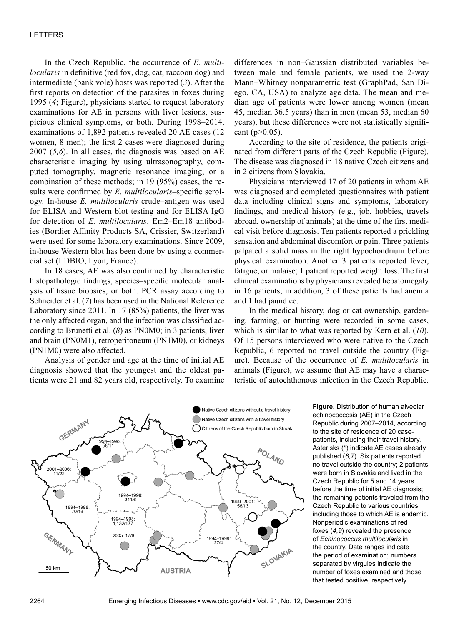## LETTERS

In the Czech Republic, the occurrence of *E. multilocularis* in definitive (red fox, dog, cat, raccoon dog) and intermediate (bank vole) hosts was reported (*3*). After the first reports on detection of the parasites in foxes during 1995 (*4*; Figure), physicians started to request laboratory examinations for AE in persons with liver lesions, suspicious clinical symptoms, or both. During 1998–2014, examinations of 1,892 patients revealed 20 AE cases (12 women, 8 men); the first 2 cases were diagnosed during 2007 (*5,6*). In all cases, the diagnosis was based on AE characteristic imaging by using ultrasonography, computed tomography, magnetic resonance imaging, or a combination of these methods; in 19 (95%) cases, the results were confirmed by *E. multilocularis*–specific serology. In-house *E. multilocularis* crude–antigen was used for ELISA and Western blot testing and for ELISA IgG for detection of *E. multilocularis*. Em2–Em18 antibodies (Bordier Affinity Products SA, Crissier, Switzerland) were used for some laboratory examinations. Since 2009, in-house Western blot has been done by using a commercial set (LDBIO, Lyon, France).

In 18 cases, AE was also confirmed by characteristic histopathologic findings, species–specific molecular analysis of tissue biopsies, or both. PCR assay according to Schneider et al. (*7*) has been used in the National Reference Laboratory since 2011. In 17 (85%) patients, the liver was the only affected organ, and the infection was classified according to Brunetti et al. (*8*) as PN0M0; in 3 patients, liver and brain (PN0M1), retroperitoneum (PN1M0), or kidneys (PN1M0) were also affected.

Analysis of gender and age at the time of initial AE diagnosis showed that the youngest and the oldest patients were 21 and 82 years old, respectively. To examine

differences in non–Gaussian distributed variables between male and female patients, we used the 2-way Mann–Whitney nonparametric test (GraphPad, San Diego, CA, USA) to analyze age data. The mean and median age of patients were lower among women (mean 45, median 36.5 years) than in men (mean 53, median 60 years), but these differences were not statistically significant  $(p > 0.05)$ .

According to the site of residence, the patients originated from different parts of the Czech Republic (Figure). The disease was diagnosed in 18 native Czech citizens and in 2 citizens from Slovakia.

Physicians interviewed 17 of 20 patients in whom AE was diagnosed and completed questionnaires with patient data including clinical signs and symptoms, laboratory findings, and medical history (e.g., job, hobbies, travels abroad, ownership of animals) at the time of the first medical visit before diagnosis. Ten patients reported a prickling sensation and abdominal discomfort or pain. Three patients palpated a solid mass in the right hypochondrium before physical examination. Another 3 patients reported fever, fatigue, or malaise; 1 patient reported weight loss. The first clinical examinations by physicians revealed hepatomegaly in 16 patients; in addition, 3 of these patients had anemia and 1 had jaundice.

In the medical history, dog or cat ownership, gardening, farming, or hunting were recorded in some cases, which is similar to what was reported by Kern et al. (*10*). Of 15 persons interviewed who were native to the Czech Republic, 6 reported no travel outside the country (Figure). Because of the occurrence of *E. multilocularis* in animals (Figure), we assume that AE may have a characteristic of autochthonous infection in the Czech Republic.



**Figure.** Distribution of human alveolar echinococcosis (AE) in the Czech Republic during 2007–2014, according to the site of residence of 20 casepatients, including their travel history. Asterisks (\*) indicate AE cases already published (*6*,*7*). Six patients reported no travel outside the country; 2 patients were born in Slovakia and lived in the Czech Republic for 5 and 14 years before the time of initial AE diagnosis; the remaining patients traveled from the Czech Republic to various countries, including those to which AE is endemic. Nonperiodic examinations of red foxes (*4*,*9*) revealed the presence of *Echinococcus multilocularis* in the country. Date ranges indicate the period of examination; numbers separated by virgules indicate the number of foxes examined and those that tested positive, respectively.